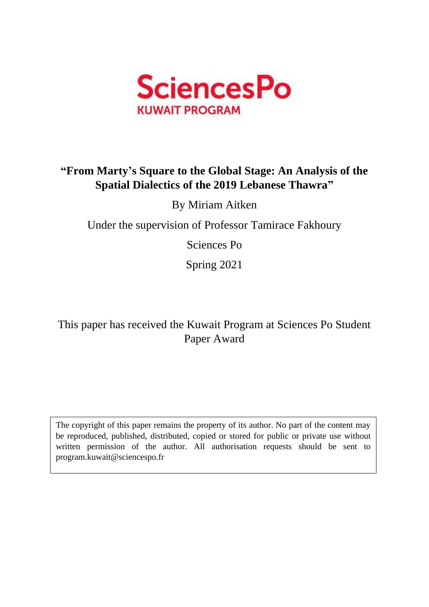

# **"From Marty's Square to the Global Stage: An Analysis of the Spatial Dialectics of the 2019 Lebanese Thawra"**

By Miriam Aitken

Under the supervision of Professor Tamirace Fakhoury

Sciences Po

Spring 2021

This paper has received the Kuwait Program at Sciences Po Student Paper Award

The copyright of this paper remains the property of its author. No part of the content may be reproduced, published, distributed, copied or stored for public or private use without written permission of the author. All authorisation requests should be sent to program.kuwait@sciencespo.fr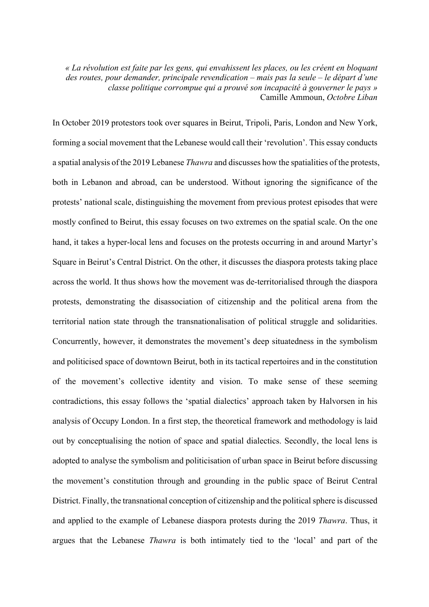*« La révolution est faite par les gens, qui envahissent les places, ou les créent en bloquant des routes, pour demander, principale revendication – mais pas la seule – le départ d'une classe politique corrompue qui a prouvé son incapacité à gouverner le pays »* Camille Ammoun, *Octobre Liban*

In October 2019 protestors took over squares in Beirut, Tripoli, Paris, London and New York, forming a social movement that the Lebanese would call their 'revolution'. This essay conducts a spatial analysis of the 2019 Lebanese *Thawra* and discusses how the spatialities of the protests, both in Lebanon and abroad, can be understood. Without ignoring the significance of the protests' national scale, distinguishing the movement from previous protest episodes that were mostly confined to Beirut, this essay focuses on two extremes on the spatial scale. On the one hand, it takes a hyper-local lens and focuses on the protests occurring in and around Martyr's Square in Beirut's Central District. On the other, it discusses the diaspora protests taking place across the world. It thus shows how the movement was de-territorialised through the diaspora protests, demonstrating the disassociation of citizenship and the political arena from the territorial nation state through the transnationalisation of political struggle and solidarities. Concurrently, however, it demonstrates the movement's deep situatedness in the symbolism and politicised space of downtown Beirut, both in its tactical repertoires and in the constitution of the movement's collective identity and vision. To make sense of these seeming contradictions, this essay follows the 'spatial dialectics' approach taken by Halvorsen in his analysis of Occupy London. In a first step, the theoretical framework and methodology is laid out by conceptualising the notion of space and spatial dialectics. Secondly, the local lens is adopted to analyse the symbolism and politicisation of urban space in Beirut before discussing the movement's constitution through and grounding in the public space of Beirut Central District. Finally, the transnational conception of citizenship and the political sphere is discussed and applied to the example of Lebanese diaspora protests during the 2019 *Thawra*. Thus, it argues that the Lebanese *Thawra* is both intimately tied to the 'local' and part of the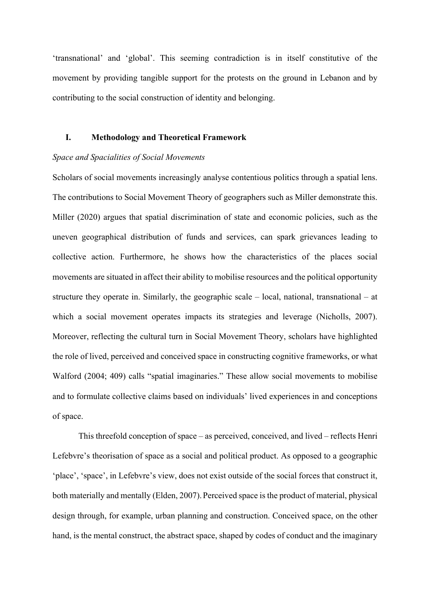'transnational' and 'global'. This seeming contradiction is in itself constitutive of the movement by providing tangible support for the protests on the ground in Lebanon and by contributing to the social construction of identity and belonging.

# **I. Methodology and Theoretical Framework**

#### *Space and Spacialities of Social Movements*

Scholars of social movements increasingly analyse contentious politics through a spatial lens. The contributions to Social Movement Theory of geographers such as Miller demonstrate this. Miller (2020) argues that spatial discrimination of state and economic policies, such as the uneven geographical distribution of funds and services, can spark grievances leading to collective action. Furthermore, he shows how the characteristics of the places social movements are situated in affect their ability to mobilise resources and the political opportunity structure they operate in. Similarly, the geographic scale – local, national, transnational – at which a social movement operates impacts its strategies and leverage (Nicholls, 2007). Moreover, reflecting the cultural turn in Social Movement Theory, scholars have highlighted the role of lived, perceived and conceived space in constructing cognitive frameworks, or what Walford (2004; 409) calls "spatial imaginaries." These allow social movements to mobilise and to formulate collective claims based on individuals' lived experiences in and conceptions of space.

This threefold conception of space – as perceived, conceived, and lived – reflects Henri Lefebvre's theorisation of space as a social and political product. As opposed to a geographic 'place', 'space', in Lefebvre's view, does not exist outside of the social forces that construct it, both materially and mentally (Elden, 2007). Perceived space is the product of material, physical design through, for example, urban planning and construction. Conceived space, on the other hand, is the mental construct, the abstract space, shaped by codes of conduct and the imaginary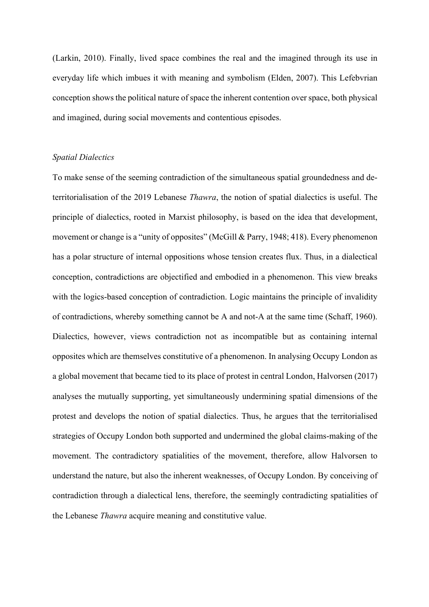(Larkin, 2010). Finally, lived space combines the real and the imagined through its use in everyday life which imbues it with meaning and symbolism (Elden, 2007). This Lefebvrian conception shows the political nature of space the inherent contention over space, both physical and imagined, during social movements and contentious episodes.

# *Spatial Dialectics*

To make sense of the seeming contradiction of the simultaneous spatial groundedness and deterritorialisation of the 2019 Lebanese *Thawra*, the notion of spatial dialectics is useful. The principle of dialectics, rooted in Marxist philosophy, is based on the idea that development, movement or change is a "unity of opposites" (McGill & Parry, 1948; 418). Every phenomenon has a polar structure of internal oppositions whose tension creates flux. Thus, in a dialectical conception, contradictions are objectified and embodied in a phenomenon. This view breaks with the logics-based conception of contradiction. Logic maintains the principle of invalidity of contradictions, whereby something cannot be A and not-A at the same time (Schaff, 1960). Dialectics, however, views contradiction not as incompatible but as containing internal opposites which are themselves constitutive of a phenomenon. In analysing Occupy London as a global movement that became tied to its place of protest in central London, Halvorsen (2017) analyses the mutually supporting, yet simultaneously undermining spatial dimensions of the protest and develops the notion of spatial dialectics. Thus, he argues that the territorialised strategies of Occupy London both supported and undermined the global claims-making of the movement. The contradictory spatialities of the movement, therefore, allow Halvorsen to understand the nature, but also the inherent weaknesses, of Occupy London. By conceiving of contradiction through a dialectical lens, therefore, the seemingly contradicting spatialities of the Lebanese *Thawra* acquire meaning and constitutive value.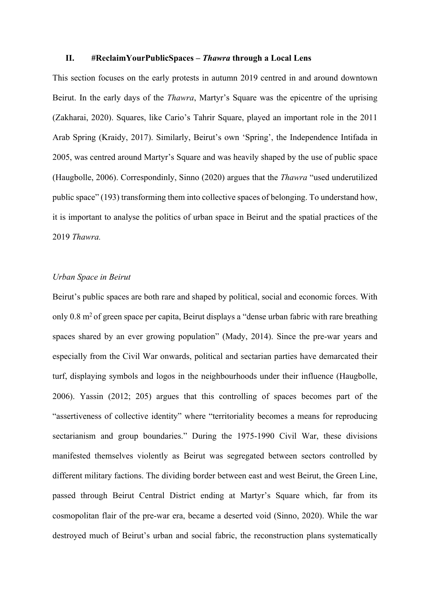#### **II. #ReclaimYourPublicSpaces –** *Thawra* **through a Local Lens**

This section focuses on the early protests in autumn 2019 centred in and around downtown Beirut. In the early days of the *Thawra*, Martyr's Square was the epicentre of the uprising (Zakharai, 2020). Squares, like Cario's Tahrir Square, played an important role in the 2011 Arab Spring (Kraidy, 2017). Similarly, Beirut's own 'Spring', the Independence Intifada in 2005, was centred around Martyr's Square and was heavily shaped by the use of public space (Haugbolle, 2006). Correspondinly, Sinno (2020) argues that the *Thawra* "used underutilized public space" (193) transforming them into collective spaces of belonging. To understand how, it is important to analyse the politics of urban space in Beirut and the spatial practices of the 2019 *Thawra.*

# *Urban Space in Beirut*

Beirut's public spaces are both rare and shaped by political, social and economic forces. With only 0.8 m<sup>2</sup> of green space per capita, Beirut displays a "dense urban fabric with rare breathing spaces shared by an ever growing population" (Mady, 2014). Since the pre-war years and especially from the Civil War onwards, political and sectarian parties have demarcated their turf, displaying symbols and logos in the neighbourhoods under their influence (Haugbolle, 2006). Yassin (2012; 205) argues that this controlling of spaces becomes part of the "assertiveness of collective identity" where "territoriality becomes a means for reproducing sectarianism and group boundaries." During the 1975-1990 Civil War, these divisions manifested themselves violently as Beirut was segregated between sectors controlled by different military factions. The dividing border between east and west Beirut, the Green Line, passed through Beirut Central District ending at Martyr's Square which, far from its cosmopolitan flair of the pre-war era, became a deserted void (Sinno, 2020). While the war destroyed much of Beirut's urban and social fabric, the reconstruction plans systematically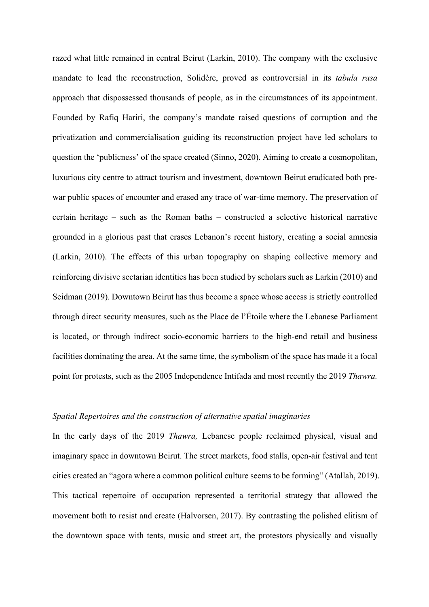razed what little remained in central Beirut (Larkin, 2010). The company with the exclusive mandate to lead the reconstruction, Solidère, proved as controversial in its *tabula rasa*  approach that dispossessed thousands of people, as in the circumstances of its appointment. Founded by Rafiq Hariri, the company's mandate raised questions of corruption and the privatization and commercialisation guiding its reconstruction project have led scholars to question the 'publicness' of the space created (Sinno, 2020). Aiming to create a cosmopolitan, luxurious city centre to attract tourism and investment, downtown Beirut eradicated both prewar public spaces of encounter and erased any trace of war-time memory. The preservation of certain heritage – such as the Roman baths – constructed a selective historical narrative grounded in a glorious past that erases Lebanon's recent history, creating a social amnesia (Larkin, 2010). The effects of this urban topography on shaping collective memory and reinforcing divisive sectarian identities has been studied by scholars such as Larkin (2010) and Seidman (2019). Downtown Beirut has thus become a space whose access is strictly controlled through direct security measures, such as the Place de l'Étoile where the Lebanese Parliament is located, or through indirect socio-economic barriers to the high-end retail and business facilities dominating the area. At the same time, the symbolism of the space has made it a focal point for protests, such as the 2005 Independence Intifada and most recently the 2019 *Thawra.* 

### *Spatial Repertoires and the construction of alternative spatial imaginaries*

In the early days of the 2019 *Thawra,* Lebanese people reclaimed physical, visual and imaginary space in downtown Beirut. The street markets, food stalls, open-air festival and tent cities created an "agora where a common political culture seems to be forming" (Atallah, 2019). This tactical repertoire of occupation represented a territorial strategy that allowed the movement both to resist and create (Halvorsen, 2017). By contrasting the polished elitism of the downtown space with tents, music and street art, the protestors physically and visually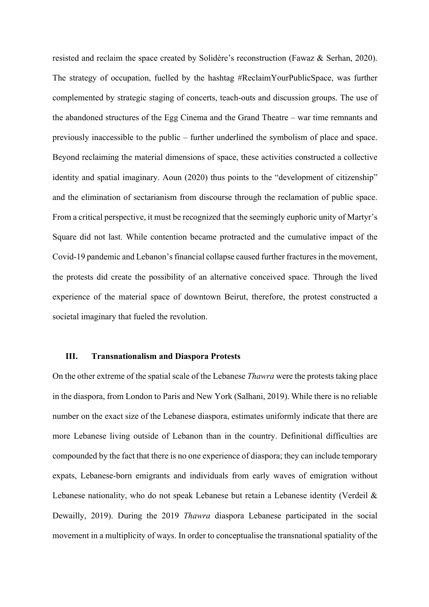resisted and reclaim the space created by Solidère's reconstruction (Fawaz & Serhan, 2020). The strategy of occupation, fuelled by the hashtag #ReclaimYourPublicSpace, was further complemented by strategic staging of concerts, teach-outs and discussion groups. The use of the abandoned structures of the Egg Cinema and the Grand Theatre – war time remnants and previously inaccessible to the public – further underlined the symbolism of place and space. Beyond reclaiming the material dimensions of space, these activities constructed a collective identity and spatial imaginary. Aoun (2020) thus points to the "development of citizenship" and the elimination of sectarianism from discourse through the reclamation of public space. From a critical perspective, it must be recognized that the seemingly euphoric unity of Martyr's Square did not last. While contention became protracted and the cumulative impact of the Covid-19 pandemic and Lebanon's financial collapse caused further fractures in the movement, the protests did create the possibility of an alternative conceived space. Through the lived experience of the material space of downtown Beirut, therefore, the protest constructed a societal imaginary that fueled the revolution.

#### **III. Transnationalism and Diaspora Protests**

On the other extreme of the spatial scale of the Lebanese *Thawra* were the protests taking place in the diaspora, from London to Paris and New York (Salhani, 2019). While there is no reliable number on the exact size of the Lebanese diaspora, estimates uniformly indicate that there are more Lebanese living outside of Lebanon than in the country. Definitional difficulties are compounded by the fact that there is no one experience of diaspora; they can include temporary expats, Lebanese-born emigrants and individuals from early waves of emigration without Lebanese nationality, who do not speak Lebanese but retain a Lebanese identity (Verdeil & Dewailly, 2019). During the 2019 *Thawra* diaspora Lebanese participated in the social movement in a multiplicity of ways. In order to conceptualise the transnational spatiality of the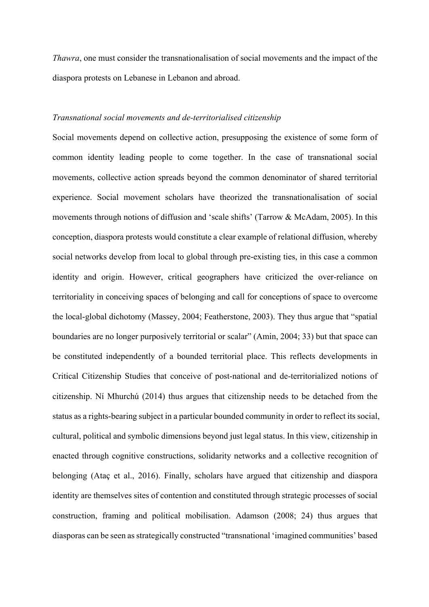*Thawra*, one must consider the transnationalisation of social movements and the impact of the diaspora protests on Lebanese in Lebanon and abroad.

# *Transnational social movements and de-territorialised citizenship*

Social movements depend on collective action, presupposing the existence of some form of common identity leading people to come together. In the case of transnational social movements, collective action spreads beyond the common denominator of shared territorial experience. Social movement scholars have theorized the transnationalisation of social movements through notions of diffusion and 'scale shifts' (Tarrow & McAdam, 2005). In this conception, diaspora protests would constitute a clear example of relational diffusion, whereby social networks develop from local to global through pre-existing ties, in this case a common identity and origin. However, critical geographers have criticized the over-reliance on territoriality in conceiving spaces of belonging and call for conceptions of space to overcome the local-global dichotomy (Massey, 2004; Featherstone, 2003). They thus argue that "spatial boundaries are no longer purposively territorial or scalar" (Amin, 2004; 33) but that space can be constituted independently of a bounded territorial place. This reflects developments in Critical Citizenship Studies that conceive of post-national and de-territorialized notions of citizenship. Ní Mhurchú (2014) thus argues that citizenship needs to be detached from the status as a rights-bearing subject in a particular bounded community in order to reflect its social, cultural, political and symbolic dimensions beyond just legal status. In this view, citizenship in enacted through cognitive constructions, solidarity networks and a collective recognition of belonging (Ataç et al., 2016). Finally, scholars have argued that citizenship and diaspora identity are themselves sites of contention and constituted through strategic processes of social construction, framing and political mobilisation. Adamson (2008; 24) thus argues that diasporas can be seen as strategically constructed "transnational 'imagined communities' based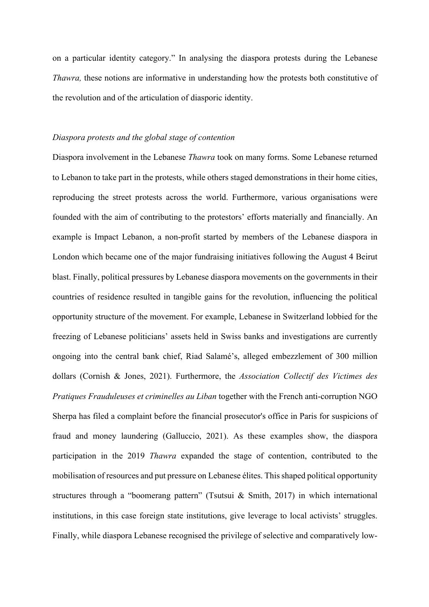on a particular identity category." In analysing the diaspora protests during the Lebanese *Thawra,* these notions are informative in understanding how the protests both constitutive of the revolution and of the articulation of diasporic identity.

# *Diaspora protests and the global stage of contention*

Diaspora involvement in the Lebanese *Thawra* took on many forms. Some Lebanese returned to Lebanon to take part in the protests, while others staged demonstrations in their home cities, reproducing the street protests across the world. Furthermore, various organisations were founded with the aim of contributing to the protestors' efforts materially and financially. An example is Impact Lebanon, a non-profit started by members of the Lebanese diaspora in London which became one of the major fundraising initiatives following the August 4 Beirut blast. Finally, political pressures by Lebanese diaspora movements on the governments in their countries of residence resulted in tangible gains for the revolution, influencing the political opportunity structure of the movement. For example, Lebanese in Switzerland lobbied for the freezing of Lebanese politicians' assets held in Swiss banks and investigations are currently ongoing into the central bank chief, Riad Salamé's, alleged embezzlement of 300 million dollars (Cornish & Jones, 2021). Furthermore, the *Association Collectif des Victimes des Pratiques Frauduleuses et criminelles au Liban* together with the French anti-corruption NGO Sherpa has filed a complaint before the financial prosecutor's office in Paris for suspicions of fraud and money laundering (Galluccio, 2021). As these examples show, the diaspora participation in the 2019 *Thawra* expanded the stage of contention, contributed to the mobilisation of resources and put pressure on Lebanese élites. This shaped political opportunity structures through a "boomerang pattern" (Tsutsui & Smith, 2017) in which international institutions, in this case foreign state institutions, give leverage to local activists' struggles. Finally, while diaspora Lebanese recognised the privilege of selective and comparatively low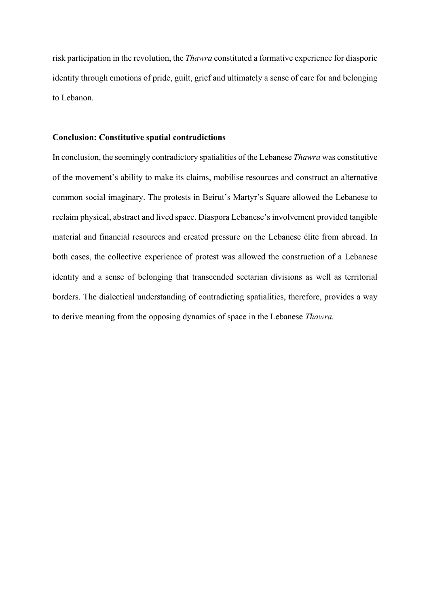risk participation in the revolution, the *Thawra* constituted a formative experience for diasporic identity through emotions of pride, guilt, grief and ultimately a sense of care for and belonging to Lebanon.

# **Conclusion: Constitutive spatial contradictions**

In conclusion, the seemingly contradictory spatialities of the Lebanese *Thawra* was constitutive of the movement's ability to make its claims, mobilise resources and construct an alternative common social imaginary. The protests in Beirut's Martyr's Square allowed the Lebanese to reclaim physical, abstract and lived space. Diaspora Lebanese's involvement provided tangible material and financial resources and created pressure on the Lebanese élite from abroad. In both cases, the collective experience of protest was allowed the construction of a Lebanese identity and a sense of belonging that transcended sectarian divisions as well as territorial borders. The dialectical understanding of contradicting spatialities, therefore, provides a way to derive meaning from the opposing dynamics of space in the Lebanese *Thawra.*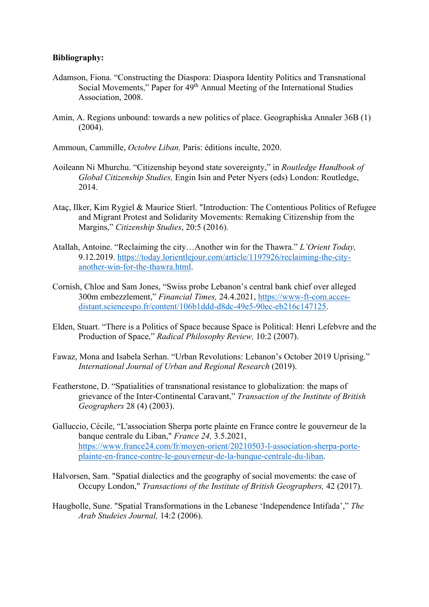# **Bibliography:**

- Adamson, Fiona. "Constructing the Diaspora: Diaspora Identity Politics and Transnational Social Movements," Paper for 49<sup>th</sup> Annual Meeting of the International Studies Association, 2008.
- Amin, A. Regions unbound: towards a new politics of place. Geographiska Annaler 36B (1) (2004).

Ammoun, Cammille, *Octobre Liban,* Paris: éditions inculte, 2020.

- Aoileann Ni Mhurchu. "Citizenship beyond state sovereignty," in *Routledge Handbook of Global Citizenship Studies,* Engin Isin and Peter Nyers (eds) London: Routledge, 2014.
- Ataç, Ilker, Kim Rygiel & Maurice Stierl. "Introduction: The Contentious Politics of Refugee and Migrant Protest and Solidarity Movements: Remaking Citizenship from the Margins," *Citizenship Studies*, 20:5 (2016).
- Atallah, Antoine. "Reclaiming the city…Another win for the Thawra." *L'Orient Today,*  9.12.2019. https://today.lorientlejour.com/article/1197926/reclaiming-the-cityanother-win-for-the-thawra.html.
- Cornish, Chloe and Sam Jones, "Swiss probe Lebanon's central bank chief over alleged 300m embezzlement," *Financial Times,* 24.4.2021, https://www-ft-com.accesdistant.sciencespo.fr/content/106b1ddd-d8dc-49e5-90ec-eb216c147125.
- Elden, Stuart. "There is a Politics of Space because Space is Political: Henri Lefebvre and the Production of Space," *Radical Philosophy Review,* 10:2 (2007).
- Fawaz, Mona and Isabela Serhan. "Urban Revolutions: Lebanon's October 2019 Uprising." *International Journal of Urban and Regional Research* (2019).
- Featherstone, D. "Spatialities of transnational resistance to globalization: the maps of grievance of the Inter-Continental Caravant," *Transaction of the Institute of British Geographers* 28 (4) (2003).
- Galluccio, Cécile, "L'association Sherpa porte plainte en France contre le gouverneur de la banque centrale du Liban," *France 24,* 3.5.2021, https://www.france24.com/fr/moyen-orient/20210503-l-association-sherpa-porteplainte-en-france-contre-le-gouverneur-de-la-banque-centrale-du-liban.
- Halvorsen, Sam. "Spatial dialectics and the geography of social movements: the case of Occupy London," *Transactions of the Institute of British Geographers,* 42 (2017).
- Haugbolle, Sune. "Spatial Transformations in the Lebanese 'Independence Intifada'," *The Arab Studeies Journal,* 14:2 (2006).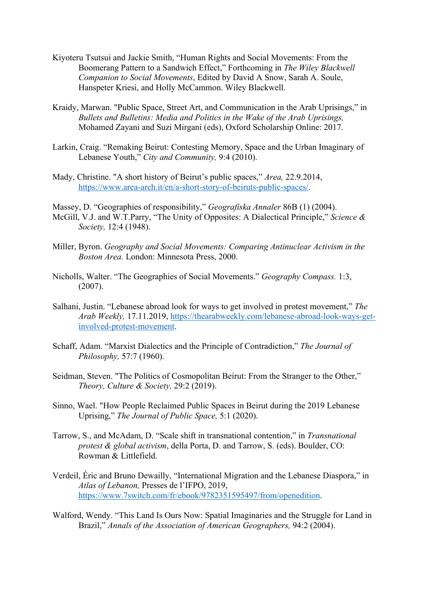- Kiyoteru Tsutsui and Jackie Smith, "Human Rights and Social Movements: From the Boomerang Pattern to a Sandwich Effect," Forthcoming in *The Wiley Blackwell Companion to Social Movements*, Edited by David A Snow, Sarah A. Soule, Hanspeter Kriesi, and Holly McCammon. Wiley Blackwell.
- Kraidy, Marwan. "Public Space, Street Art, and Communication in the Arab Uprisings," in *Bullets and Bulletins: Media and Politics in the Wake of the Arab Uprisings,*  Mohamed Zayani and Suzi Mirgani (eds), Oxford Scholarship Online: 2017.
- Larkin, Craig. "Remaking Beirut: Contesting Memory, Space and the Urban Imaginary of Lebanese Youth," *City and Community,* 9:4 (2010).
- Mady, Christine. "A short history of Beirut's public spaces," *Area,* 22.9.2014, https://www.area-arch.it/en/a-short-story-of-beiruts-public-spaces/.

Massey, D. "Geographies of responsibility," *Geografiska Annaler* 86B (1) (2004). McGill, V.J. and W.T.Parry, "The Unity of Opposites: A Dialectical Principle," *Science & Society,* 12:4 (1948).

- Miller, Byron. *Geography and Social Movements: Comparing Antinuclear Activism in the Boston Area.* London: Minnesota Press, 2000.
- Nicholls, Walter. "The Geographies of Social Movements." *Geography Compass.* 1:3, (2007).
- Salhani, Justin. "Lebanese abroad look for ways to get involved in protest movement," *The Arab Weekly,* 17.11.2019, https://thearabweekly.com/lebanese-abroad-look-ways-getinvolved-protest-movement.
- Schaff, Adam. "Marxist Dialectics and the Principle of Contradiction," *The Journal of Philosophy,* 57:7 (1960).
- Seidman, Steven. "The Politics of Cosmopolitan Beirut: From the Stranger to the Other," *Theory, Culture & Society,* 29:2 (2019).
- Sinno, Wael. "How People Reclaimed Public Spaces in Beirut during the 2019 Lebanese Uprising," *The Journal of Public Space,* 5:1 (2020).
- Tarrow, S., and McAdam, D. "Scale shift in transnational contention," in *Transnational protest & global activism*, della Porta, D. and Tarrow, S. (eds). Boulder, CO: Rowman & Littlefield.
- Verdeil, Éric and Bruno Dewailly, "International Migration and the Lebanese Diaspora," in *Atlas of Lebanon,* Presses de l'IFPO, 2019, https://www.7switch.com/fr/ebook/9782351595497/from/openedition.
- Walford, Wendy. "This Land Is Ours Now: Spatial Imaginaries and the Struggle for Land in Brazil," *Annals of the Association of American Geographers,* 94:2 (2004).